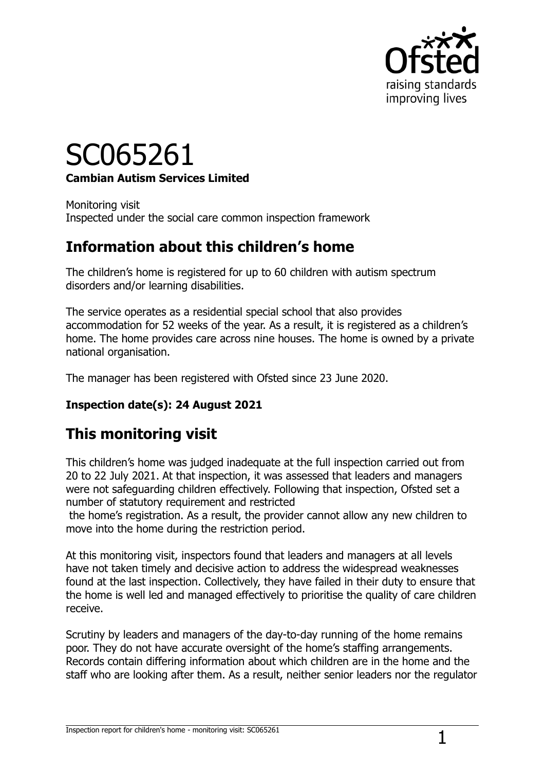

# SC065261 **Cambian Autism Services Limited**

Monitoring visit Inspected under the social care common inspection framework

## **Information about this children's home**

The children's home is registered for up to 60 children with autism spectrum disorders and/or learning disabilities.

The service operates as a residential special school that also provides accommodation for 52 weeks of the year. As a result, it is registered as a children's home. The home provides care across nine houses. The home is owned by a private national organisation.

The manager has been registered with Ofsted since 23 June 2020.

#### **Inspection date(s): 24 August 2021**

# **This monitoring visit**

This children's home was judged inadequate at the full inspection carried out from 20 to 22 July 2021. At that inspection, it was assessed that leaders and managers were not safeguarding children effectively. Following that inspection, Ofsted set a number of statutory requirement and restricted

the home's registration. As a result, the provider cannot allow any new children to move into the home during the restriction period.

At this monitoring visit, inspectors found that leaders and managers at all levels have not taken timely and decisive action to address the widespread weaknesses found at the last inspection. Collectively, they have failed in their duty to ensure that the home is well led and managed effectively to prioritise the quality of care children receive.

Scrutiny by leaders and managers of the day-to-day running of the home remains poor. They do not have accurate oversight of the home's staffing arrangements. Records contain differing information about which children are in the home and the staff who are looking after them. As a result, neither senior leaders nor the regulator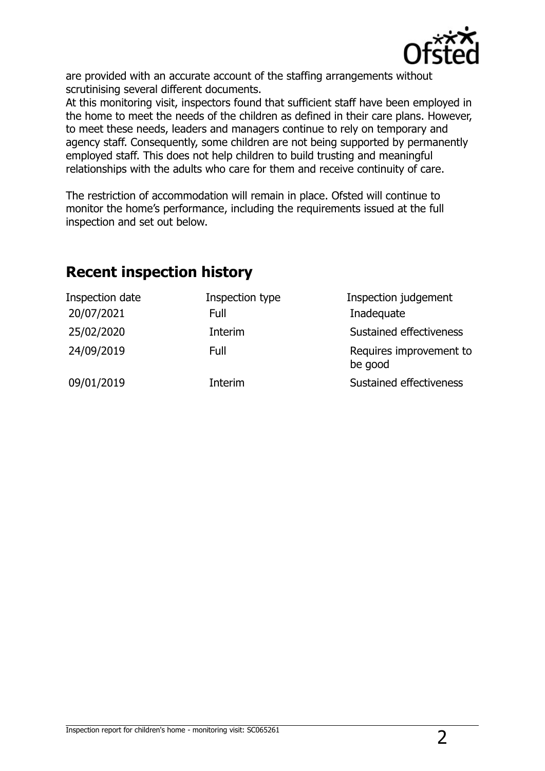

are provided with an accurate account of the staffing arrangements without scrutinising several different documents.

At this monitoring visit, inspectors found that sufficient staff have been employed in the home to meet the needs of the children as defined in their care plans. However, to meet these needs, leaders and managers continue to rely on temporary and agency staff. Consequently, some children are not being supported by permanently employed staff. This does not help children to build trusting and meaningful relationships with the adults who care for them and receive continuity of care.

The restriction of accommodation will remain in place. Ofsted will continue to monitor the home's performance, including the requirements issued at the full inspection and set out below.

| Inspection date<br>20/07/2021 | Inspection type<br>Full | Inspection judgement<br>Inadequate |
|-------------------------------|-------------------------|------------------------------------|
| 25/02/2020                    | Interim                 | Sustained effectiveness            |
| 24/09/2019                    | Full                    | Requires improvement to<br>be good |
| 09/01/2019                    | Interim                 | Sustained effectiveness            |

### **Recent inspection history**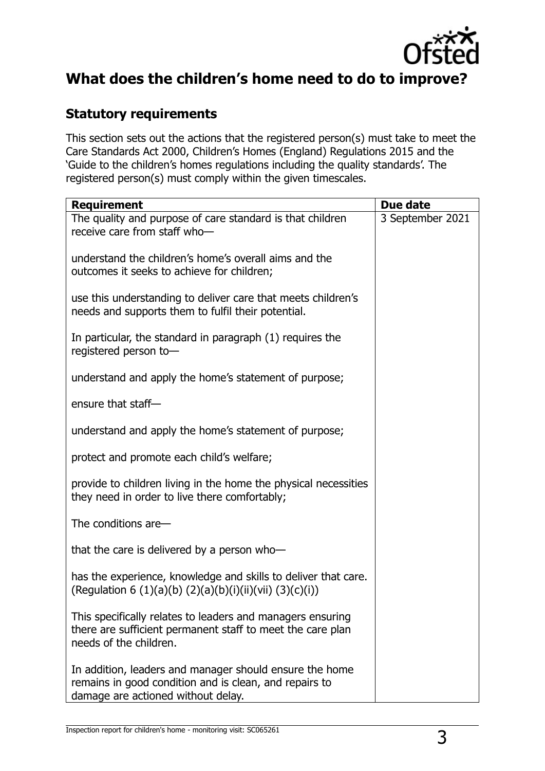

# **What does the children's home need to do to improve?**

#### **Statutory requirements**

This section sets out the actions that the registered person(s) must take to meet the Care Standards Act 2000, Children's Homes (England) Regulations 2015 and the 'Guide to the children's homes regulations including the quality standards'. The registered person(s) must comply within the given timescales.

| <b>Requirement</b>                                                                                                                                      | Due date         |
|---------------------------------------------------------------------------------------------------------------------------------------------------------|------------------|
| The quality and purpose of care standard is that children<br>receive care from staff who-                                                               | 3 September 2021 |
| understand the children's home's overall aims and the<br>outcomes it seeks to achieve for children;                                                     |                  |
| use this understanding to deliver care that meets children's<br>needs and supports them to fulfil their potential.                                      |                  |
| In particular, the standard in paragraph (1) requires the<br>registered person to-                                                                      |                  |
| understand and apply the home's statement of purpose;                                                                                                   |                  |
| ensure that staff-                                                                                                                                      |                  |
| understand and apply the home's statement of purpose;                                                                                                   |                  |
| protect and promote each child's welfare;                                                                                                               |                  |
| provide to children living in the home the physical necessities<br>they need in order to live there comfortably;                                        |                  |
| The conditions are-                                                                                                                                     |                  |
| that the care is delivered by a person who-                                                                                                             |                  |
| has the experience, knowledge and skills to deliver that care.<br>(Regulation 6 (1)(a)(b) (2)(a)(b)(i)(ii)(vii) (3)(c)(i))                              |                  |
| This specifically relates to leaders and managers ensuring<br>there are sufficient permanent staff to meet the care plan<br>needs of the children.      |                  |
| In addition, leaders and manager should ensure the home<br>remains in good condition and is clean, and repairs to<br>damage are actioned without delay. |                  |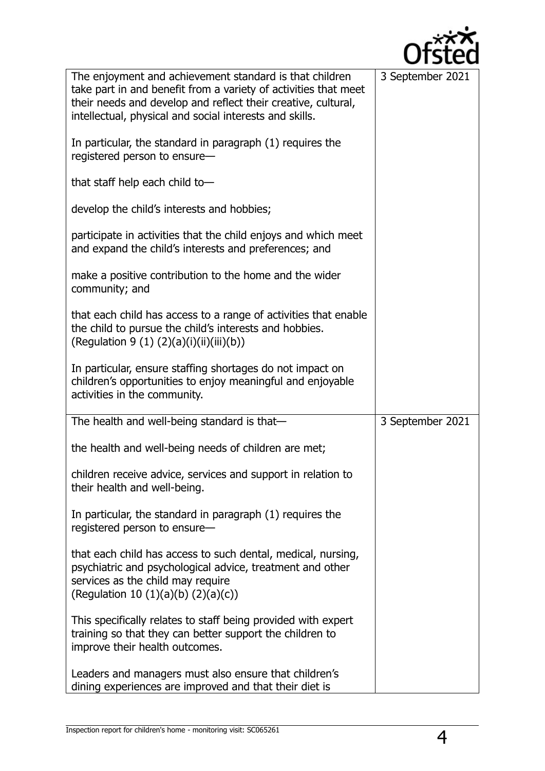

| The enjoyment and achievement standard is that children<br>take part in and benefit from a variety of activities that meet<br>their needs and develop and reflect their creative, cultural,<br>intellectual, physical and social interests and skills. | 3 September 2021 |
|--------------------------------------------------------------------------------------------------------------------------------------------------------------------------------------------------------------------------------------------------------|------------------|
| In particular, the standard in paragraph (1) requires the<br>registered person to ensure-                                                                                                                                                              |                  |
| that staff help each child to-                                                                                                                                                                                                                         |                  |
| develop the child's interests and hobbies;                                                                                                                                                                                                             |                  |
| participate in activities that the child enjoys and which meet<br>and expand the child's interests and preferences; and                                                                                                                                |                  |
| make a positive contribution to the home and the wider<br>community; and                                                                                                                                                                               |                  |
| that each child has access to a range of activities that enable<br>the child to pursue the child's interests and hobbies.<br>(Regulation 9 (1) $(2)(a)(i)(ii)(iii)(b))$                                                                                |                  |
| In particular, ensure staffing shortages do not impact on<br>children's opportunities to enjoy meaningful and enjoyable<br>activities in the community.                                                                                                |                  |
| The health and well-being standard is that-                                                                                                                                                                                                            | 3 September 2021 |
|                                                                                                                                                                                                                                                        |                  |
| the health and well-being needs of children are met;                                                                                                                                                                                                   |                  |
| children receive advice, services and support in relation to<br>their health and well-being.                                                                                                                                                           |                  |
| In particular, the standard in paragraph (1) requires the<br>registered person to ensure-                                                                                                                                                              |                  |
| that each child has access to such dental, medical, nursing,<br>psychiatric and psychological advice, treatment and other<br>services as the child may require<br>(Regulation 10 $(1)(a)(b)$ $(2)(a)(c)$ )                                             |                  |
| This specifically relates to staff being provided with expert<br>training so that they can better support the children to<br>improve their health outcomes.                                                                                            |                  |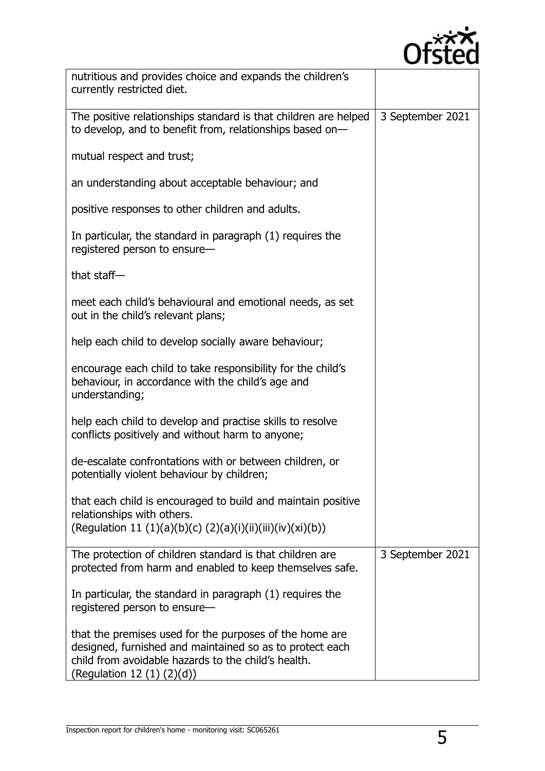

| nutritious and provides choice and expands the children's<br>currently restricted diet.                                                                                                                       |                  |
|---------------------------------------------------------------------------------------------------------------------------------------------------------------------------------------------------------------|------------------|
| The positive relationships standard is that children are helped<br>to develop, and to benefit from, relationships based on-                                                                                   | 3 September 2021 |
| mutual respect and trust;                                                                                                                                                                                     |                  |
| an understanding about acceptable behaviour; and                                                                                                                                                              |                  |
| positive responses to other children and adults.                                                                                                                                                              |                  |
| In particular, the standard in paragraph (1) requires the<br>registered person to ensure-                                                                                                                     |                  |
| that staff-                                                                                                                                                                                                   |                  |
| meet each child's behavioural and emotional needs, as set<br>out in the child's relevant plans;                                                                                                               |                  |
| help each child to develop socially aware behaviour;                                                                                                                                                          |                  |
| encourage each child to take responsibility for the child's<br>behaviour, in accordance with the child's age and<br>understanding;                                                                            |                  |
| help each child to develop and practise skills to resolve<br>conflicts positively and without harm to anyone;                                                                                                 |                  |
| de-escalate confrontations with or between children, or<br>potentially violent behaviour by children;                                                                                                         |                  |
| that each child is encouraged to build and maintain positive<br>relationships with others.<br>(Regulation 11 (1)(a)(b)(c) (2)(a)(i)(ii)(iii)(iv)(xi)(b))                                                      |                  |
| The protection of children standard is that children are<br>protected from harm and enabled to keep themselves safe.                                                                                          | 3 September 2021 |
| In particular, the standard in paragraph (1) requires the<br>registered person to ensure-                                                                                                                     |                  |
| that the premises used for the purposes of the home are<br>designed, furnished and maintained so as to protect each<br>child from avoidable hazards to the child's health.<br>(Regulation 12 $(1)$ $(2)(d)$ ) |                  |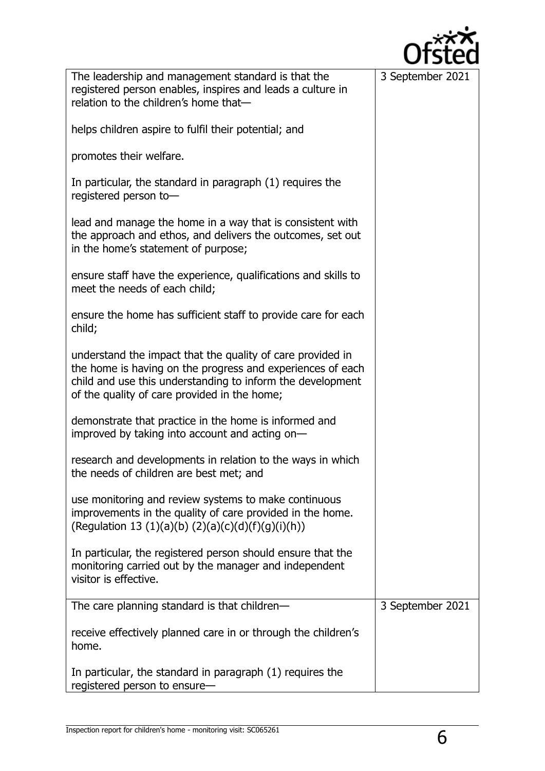

| The leadership and management standard is that the                                                                                                             | 3 September 2021 |
|----------------------------------------------------------------------------------------------------------------------------------------------------------------|------------------|
| registered person enables, inspires and leads a culture in                                                                                                     |                  |
| relation to the children's home that-                                                                                                                          |                  |
| helps children aspire to fulfil their potential; and                                                                                                           |                  |
| promotes their welfare.                                                                                                                                        |                  |
| In particular, the standard in paragraph (1) requires the<br>registered person to-                                                                             |                  |
| lead and manage the home in a way that is consistent with<br>the approach and ethos, and delivers the outcomes, set out<br>in the home's statement of purpose; |                  |
| ensure staff have the experience, qualifications and skills to<br>meet the needs of each child;                                                                |                  |
| ensure the home has sufficient staff to provide care for each<br>child;                                                                                        |                  |
| understand the impact that the quality of care provided in                                                                                                     |                  |
| the home is having on the progress and experiences of each                                                                                                     |                  |
| child and use this understanding to inform the development                                                                                                     |                  |
| of the quality of care provided in the home;                                                                                                                   |                  |
|                                                                                                                                                                |                  |
| demonstrate that practice in the home is informed and<br>improved by taking into account and acting on-                                                        |                  |
|                                                                                                                                                                |                  |
| research and developments in relation to the ways in which<br>the needs of children are best met; and                                                          |                  |
| use monitoring and review systems to make continuous                                                                                                           |                  |
| improvements in the quality of care provided in the home.                                                                                                      |                  |
|                                                                                                                                                                |                  |
| (Regulation 13 (1)(a)(b) (2)(a)(c)(d)(f)(g)(i)(h))                                                                                                             |                  |
|                                                                                                                                                                |                  |
| In particular, the registered person should ensure that the                                                                                                    |                  |
| monitoring carried out by the manager and independent                                                                                                          |                  |
| visitor is effective.                                                                                                                                          |                  |
|                                                                                                                                                                |                  |
| The care planning standard is that children-                                                                                                                   | 3 September 2021 |
| receive effectively planned care in or through the children's                                                                                                  |                  |
| home.                                                                                                                                                          |                  |
|                                                                                                                                                                |                  |
| In particular, the standard in paragraph (1) requires the                                                                                                      |                  |
| registered person to ensure-                                                                                                                                   |                  |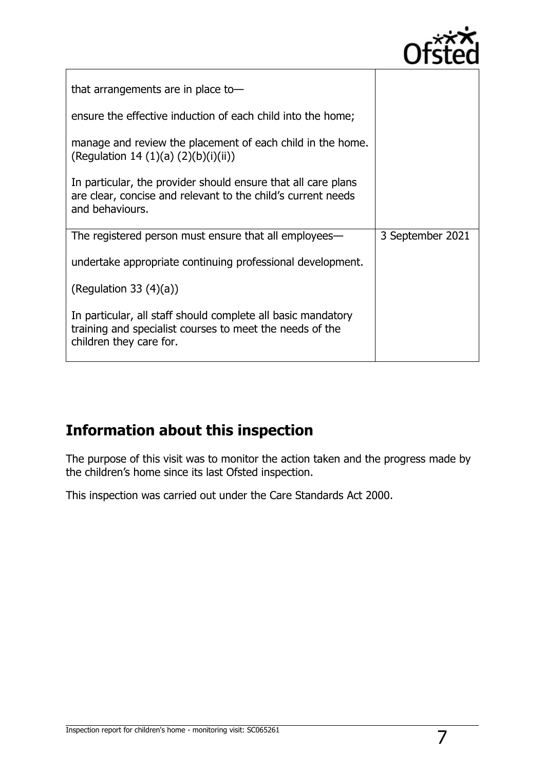

| that arrangements are in place to-                                                                                                               |                  |
|--------------------------------------------------------------------------------------------------------------------------------------------------|------------------|
| ensure the effective induction of each child into the home;                                                                                      |                  |
| manage and review the placement of each child in the home.<br>(Regulation 14 (1)(a) $(2)(b)(i)(ii)$ )                                            |                  |
| In particular, the provider should ensure that all care plans<br>are clear, concise and relevant to the child's current needs<br>and behaviours. |                  |
| The registered person must ensure that all employees—                                                                                            | 3 September 2021 |
| undertake appropriate continuing professional development.                                                                                       |                  |
| (Regulation 33 $(4)(a)$ )                                                                                                                        |                  |
| In particular, all staff should complete all basic mandatory<br>training and specialist courses to meet the needs of the                         |                  |

# **Information about this inspection**

The purpose of this visit was to monitor the action taken and the progress made by the children's home since its last Ofsted inspection.

This inspection was carried out under the Care Standards Act 2000.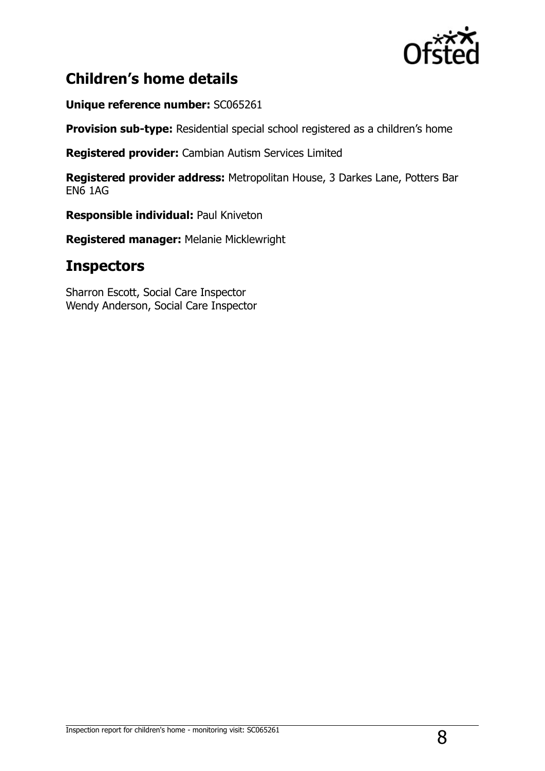

# **Children's home details**

**Unique reference number:** SC065261

**Provision sub-type:** Residential special school registered as a children's home

**Registered provider:** Cambian Autism Services Limited

**Registered provider address:** Metropolitan House, 3 Darkes Lane, Potters Bar EN6 1AG

**Responsible individual:** Paul Kniveton

**Registered manager:** Melanie Micklewright

### **Inspectors**

Sharron Escott, Social Care Inspector Wendy Anderson, Social Care Inspector